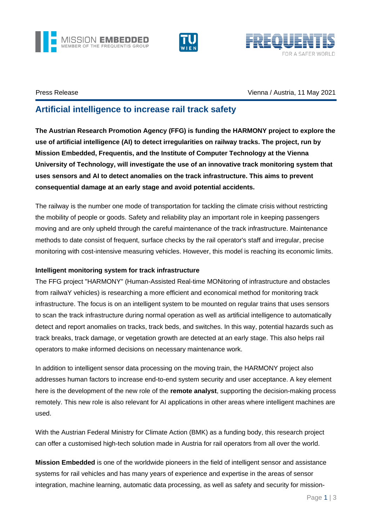





# Press Release Vienna / Austria, 11 May 2021

# **Artificial intelligence to increase rail track safety**

**The Austrian Research Promotion Agency (FFG) is funding the HARMONY project to explore the use of artificial intelligence (AI) to detect irregularities on railway tracks. The project, run by Mission Embedded, Frequentis, and the Institute of Computer Technology at the Vienna University of Technology, will investigate the use of an innovative track monitoring system that uses sensors and AI to detect anomalies on the track infrastructure. This aims to prevent consequential damage at an early stage and avoid potential accidents.**

The railway is the number one mode of transportation for tackling the climate crisis without restricting the mobility of people or goods. Safety and reliability play an important role in keeping passengers moving and are only upheld through the careful maintenance of the track infrastructure. Maintenance methods to date consist of frequent, surface checks by the rail operator's staff and irregular, precise monitoring with cost-intensive measuring vehicles. However, this model is reaching its economic limits.

# **Intelligent monitoring system for track infrastructure**

The FFG project "HARMONY" (Human-Assisted Real-time MONitoring of infrastructure and obstacles from railwaY vehicles) is researching a more efficient and economical method for monitoring track infrastructure. The focus is on an intelligent system to be mounted on regular trains that uses sensors to scan the track infrastructure during normal operation as well as artificial intelligence to automatically detect and report anomalies on tracks, track beds, and switches. In this way, potential hazards such as track breaks, track damage, or vegetation growth are detected at an early stage. This also helps rail operators to make informed decisions on necessary maintenance work.

In addition to intelligent sensor data processing on the moving train, the HARMONY project also addresses human factors to increase end-to-end system security and user acceptance. A key element here is the development of the new role of the **remote analyst**, supporting the decision-making process remotely. This new role is also relevant for AI applications in other areas where intelligent machines are used.

With the Austrian Federal Ministry for Climate Action (BMK) as a funding body, this research project can offer a customised high-tech solution made in Austria for rail operators from all over the world.

**Mission Embedded** is one of the worldwide pioneers in the field of intelligent sensor and assistance systems for rail vehicles and has many years of experience and expertise in the areas of sensor integration, machine learning, automatic data processing, as well as safety and security for mission-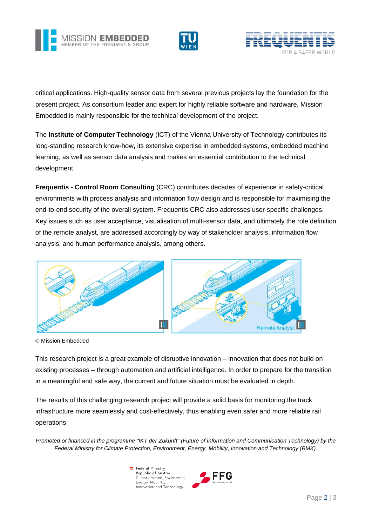





critical applications. High-quality sensor data from several previous projects lay the foundation for the present project. As consortium leader and expert for highly reliable software and hardware, Mission Embedded is mainly responsible for the technical development of the project.

The **Institute of Computer Technology** (ICT) of the Vienna University of Technology contributes its long-standing research know-how, its extensive expertise in embedded systems, embedded machine learning, as well as sensor data analysis and makes an essential contribution to the technical development.

**Frequentis - Control Room Consulting** (CRC) contributes decades of experience in safety-critical environments with process analysis and information flow design and is responsible for maximising the end-to-end security of the overall system. Frequentis CRC also addresses user-specific challenges. Key issues such as user acceptance, visualisation of multi-sensor data, and ultimately the role definition of the remote analyst, are addressed accordingly by way of stakeholder analysis, information flow analysis, and human performance analysis, among others.



© Mission Embedded

This research project is a great example of disruptive innovation – innovation that does not build on existing processes – through automation and artificial intelligence. In order to prepare for the transition in a meaningful and safe way, the current and future situation must be evaluated in depth.

The results of this challenging research project will provide a solid basis for monitoring the track infrastructure more seamlessly and cost-effectively, thus enabling even safer and more reliable rail operations.

*Promoted or financed in the programme "IKT der Zukunft" (Future of Information and Communication Technology) by the Federal Ministry for Climate Protection, Environment, Energy, Mobility, Innovation and Technology (BMK).*